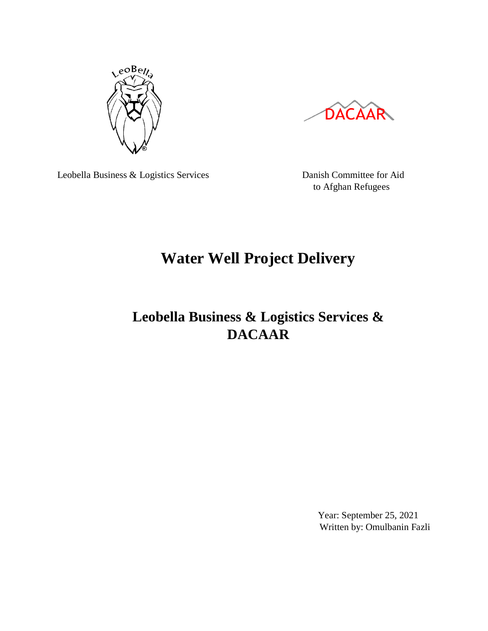

**DACAAR** 

Leobella Business & Logistics Services Danish Committee for Aid

to Afghan Refugees

# **Water Well Project Delivery**

# **Leobella Business & Logistics Services & DACAAR**

 Year: September 25, 2021 Written by: Omulbanin Fazli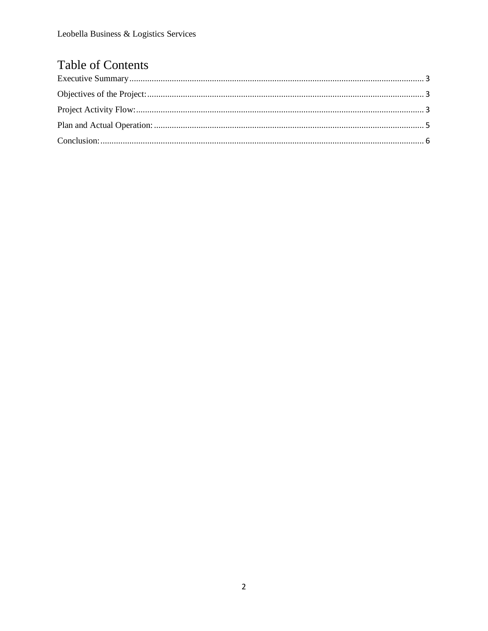## **Table of Contents**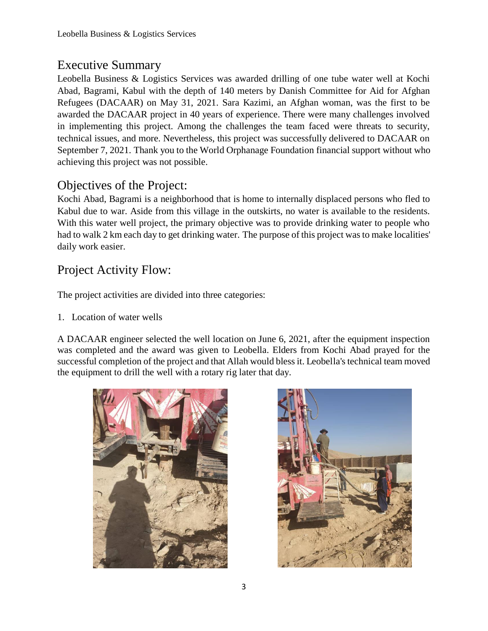### <span id="page-2-0"></span>Executive Summary

Leobella Business & Logistics Services was awarded drilling of one tube water well at Kochi Abad, Bagrami, Kabul with the depth of 140 meters by Danish Committee for Aid for Afghan Refugees (DACAAR) on May 31, 2021. Sara Kazimi, an Afghan woman, was the first to be awarded the DACAAR project in 40 years of experience. There were many challenges involved in implementing this project. Among the challenges the team faced were threats to security, technical issues, and more. Nevertheless, this project was successfully delivered to DACAAR on September 7, 2021. Thank you to the World Orphanage Foundation financial support without who achieving this project was not possible.

### <span id="page-2-1"></span>Objectives of the Project:

Kochi Abad, Bagrami is a neighborhood that is home to internally displaced persons who fled to Kabul due to war. Aside from this village in the outskirts, no water is available to the residents. With this water well project, the primary objective was to provide drinking water to people who had to walk 2 km each day to get drinking water. The purpose of this project was to make localities' daily work easier.

#### <span id="page-2-2"></span>Project Activity Flow:

The project activities are divided into three categories:

1. Location of water wells

A DACAAR engineer selected the well location on June 6, 2021, after the equipment inspection was completed and the award was given to Leobella. Elders from Kochi Abad prayed for the successful completion of the project and that Allah would bless it. Leobella's technical team moved the equipment to drill the well with a rotary rig later that day.



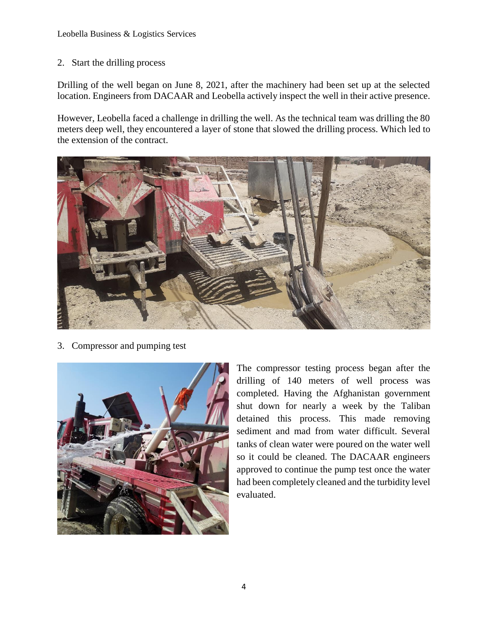#### 2. Start the drilling process

Drilling of the well began on June 8, 2021, after the machinery had been set up at the selected location. Engineers from DACAAR and Leobella actively inspect the well in their active presence.

However, Leobella faced a challenge in drilling the well. As the technical team was drilling the 80 meters deep well, they encountered a layer of stone that slowed the drilling process. Which led to the extension of the contract.



3. Compressor and pumping test



The compressor testing process began after the drilling of 140 meters of well process was completed. Having the Afghanistan government shut down for nearly a week by the Taliban detained this process. This made removing sediment and mad from water difficult. Several tanks of clean water were poured on the water well so it could be cleaned. The DACAAR engineers approved to continue the pump test once the water had been completely cleaned and the turbidity level evaluated.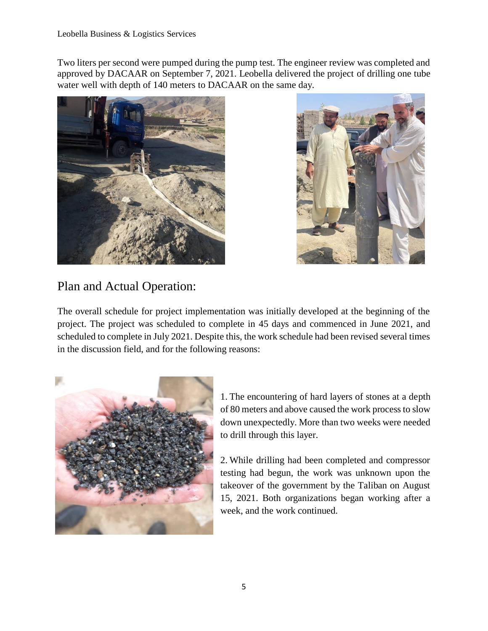Two liters per second were pumped during the pump test. The engineer review was completed and approved by DACAAR on September 7, 2021. Leobella delivered the project of drilling one tube water well with depth of 140 meters to DACAAR on the same day.





### <span id="page-4-0"></span>Plan and Actual Operation:

The overall schedule for project implementation was initially developed at the beginning of the project. The project was scheduled to complete in 45 days and commenced in June 2021, and scheduled to complete in July 2021. Despite this, the work schedule had been revised several times in the discussion field, and for the following reasons:



1. The encountering of hard layers of stones at a depth of 80 meters and above caused the work process to slow down unexpectedly. More than two weeks were needed to drill through this layer.

2. While drilling had been completed and compressor testing had begun, the work was unknown upon the takeover of the government by the Taliban on August 15, 2021. Both organizations began working after a week, and the work continued.